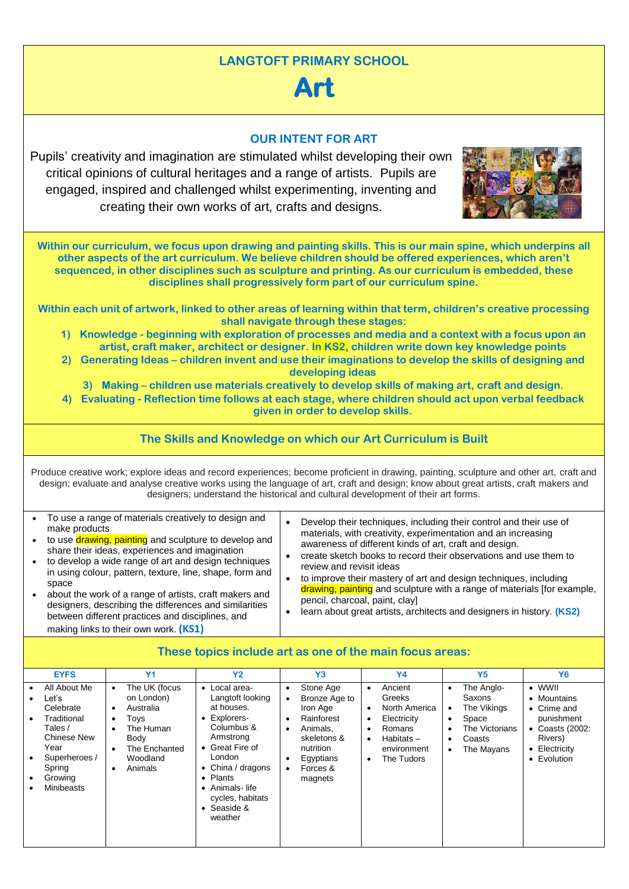### **LANGTOFT PRIMARY SCHOOL**

# **Art**

#### **OUR INTENT FOR ART**

Pupils' creativity and imagination are stimulated whilst developing their own critical opinions of cultural heritages and a range of artists. Pupils are engaged, inspired and challenged whilst experimenting, inventing and creating their own works of art, crafts and designs.



**Within our curriculum, we focus upon drawing and painting skills. This is our main spine, which underpins all other aspects of the art curriculum. We believe children should be offered experiences, which aren't sequenced, in other disciplines such as sculpture and printing. As our curriculum is embedded, these disciplines shall progressively form part of our curriculum spine.**

**Within each unit of artwork, linked to other areas of learning within that term, children's creative processing shall navigate through these stages:**

- **1) Knowledge - beginning with exploration of processes and media and a context with a focus upon an artist, craft maker, architect or designer. In KS2, children write down key knowledge points**
- **2) Generating Ideas – children invent and use their imaginations to develop the skills of designing and developing ideas**

**3) Making – children use materials creatively to develop skills of making art, craft and design.**

**4) Evaluating - Reflection time follows at each stage, where children should act upon verbal feedback given in order to develop skills.**

#### **The Skills and Knowledge on which our Art Curriculum is Built**

Produce creative work; explore ideas and record experiences; become proficient in drawing, painting, sculpture and other art, craft and design; evaluate and analyse creative works using the language of art, craft and design; know about great artists, craft makers and designers; understand the historical and cultural development of their art forms.

| To use a range of materials creatively to design and<br>make products<br>to use drawing, painting and sculpture to develop and                                                                                                                                                                                                                                                               | Develop their techniques, including their control and their use of<br>materials, with creativity, experimentation and an increasing<br>awareness of different kinds of art, craft and design.                                                                                                                                                          |
|----------------------------------------------------------------------------------------------------------------------------------------------------------------------------------------------------------------------------------------------------------------------------------------------------------------------------------------------------------------------------------------------|--------------------------------------------------------------------------------------------------------------------------------------------------------------------------------------------------------------------------------------------------------------------------------------------------------------------------------------------------------|
| share their ideas, experiences and imagination<br>to develop a wide range of art and design techniques<br>in using colour, pattern, texture, line, shape, form and<br>space<br>about the work of a range of artists, craft makers and<br>designers, describing the differences and similarities<br>between different practices and disciplines, and<br>making links to their own work. (KS1) | create sketch books to record their observations and use them to<br>review and revisit ideas<br>to improve their mastery of art and design techniques, including<br>drawing, painting and sculpture with a range of materials [for example,<br>pencil, charcoal, paint, clay]<br>learn about great artists, architects and designers in history. (KS2) |

| <b>EYFS</b><br>All About Me<br>Leť's<br>Celebrate<br>Traditional<br>Tales /<br>Chinese New<br>Year<br>Superheroes /<br>Spring<br>Growina<br>Minibeasts | Y <sub>1</sub><br>The UK (focus<br>on London)<br>Australia<br>$\bullet$<br>Toys<br>$\bullet$<br>The Human<br>$\bullet$<br>Body<br>The Enchanted<br>$\bullet$<br>Woodland<br>Animals<br>$\bullet$ | <b>Y2</b><br>• Local area-<br>Langtoft looking<br>at houses.<br>• Explorers-<br>Columbus &<br>Armstrong<br>• Great Fire of<br>London<br>• China / dragons<br>• Plants<br>• Animals-life<br>cycles, habitats<br>$\bullet$ Seaside &<br>weather | Y <sub>3</sub><br>Stone Age<br>Bronze Age to<br>Iron Age<br>Rainforest<br>Animals.<br>skeletons &<br>nutrition<br>Egyptians<br>Forces &<br>magnets | <b>Y4</b><br>Ancient<br>$\bullet$<br>Greeks<br>North America<br>٠<br>Electricity<br>٠<br>Romans<br>٠<br>$Habitats -$<br>٠<br>environment<br>The Tudors<br>٠ | Y <sub>5</sub><br>The Anglo-<br>$\bullet$<br>Saxons<br>The Vikings<br>٠<br>Space<br>$\bullet$<br>The Victorians<br>$\bullet$<br>Coasts<br>$\bullet$<br>The Mayans<br>$\bullet$ | <b>Y6</b><br>$\bullet$ WWII<br>• Mountains<br>$\bullet$ Crime and<br>punishment<br>• Coasts (2002:<br>Rivers)<br>• Electricity<br>• Evolution |
|--------------------------------------------------------------------------------------------------------------------------------------------------------|--------------------------------------------------------------------------------------------------------------------------------------------------------------------------------------------------|-----------------------------------------------------------------------------------------------------------------------------------------------------------------------------------------------------------------------------------------------|----------------------------------------------------------------------------------------------------------------------------------------------------|-------------------------------------------------------------------------------------------------------------------------------------------------------------|--------------------------------------------------------------------------------------------------------------------------------------------------------------------------------|-----------------------------------------------------------------------------------------------------------------------------------------------|

#### **These topics include art as one of the main focus areas:**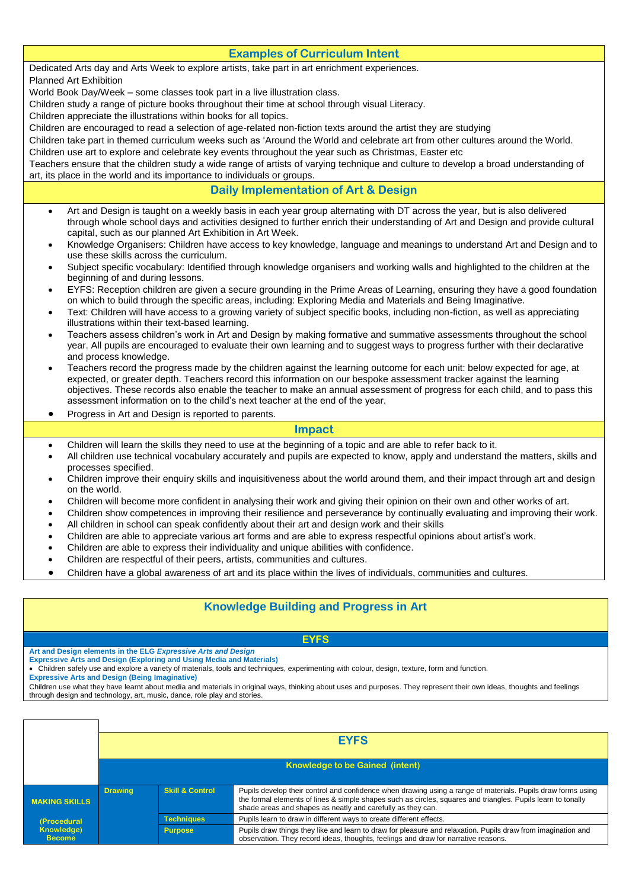## **Examples of Curriculum Intent** Teachers ensure that the children study a wide range of artists of varying technique and culture to develop a broad understanding of **Daily Implementation of Art & Design**  • Art and Design is taught on a weekly basis in each year group alternating with DT across the year, but is also delivered through whole school days and activities designed to further enrich their understanding of Art and Design and provide cultural capital, such as our planned Art Exhibition in Art Week. • Knowledge Organisers: Children have access to key knowledge, language and meanings to understand Art and Design and to use these skills across the curriculum. • Subject specific vocabulary: Identified through knowledge organisers and working walls and highlighted to the children at the beginning of and during lessons. • EYFS: Reception children are given a secure grounding in the Prime Areas of Learning, ensuring they have a good foundation on which to build through the specific areas, including: Exploring Media and Materials and Being Imaginative. • Text: Children will have access to a growing variety of subject specific books, including non-fiction, as well as appreciating illustrations within their text-based learning. • Teachers assess children's work in Art and Design by making formative and summative assessments throughout the school year. All pupils are encouraged to evaluate their own learning and to suggest ways to progress further with their declarative and process knowledge. • Teachers record the progress made by the children against the learning outcome for each unit: below expected for age, at expected, or greater depth. Teachers record this information on our bespoke assessment tracker against the learning objectives. These records also enable the teacher to make an annual assessment of progress for each child, and to pass this assessment information on to the child's next teacher at the end of the year. • Progress in Art and Design is reported to parents. **Impact**  • Children will learn the skills they need to use at the beginning of a topic and are able to refer back to it. • All children use technical vocabulary accurately and pupils are expected to know, apply and understand the matters, skills and processes specified. • Children improve their enquiry skills and inquisitiveness about the world around them, and their impact through art and design on the world. • Children will become more confident in analysing their work and giving their opinion on their own and other works of art.

- Children show competences in improving their resilience and perseverance by continually evaluating and improving their work.
- All children in school can speak confidently about their art and design work and their skills
- Children are able to appreciate various art forms and are able to express respectful opinions about artist's work.
- Children are able to express their individuality and unique abilities with confidence.
- Children are respectful of their peers, artists, communities and cultures.
- Children have a global awareness of art and its place within the lives of individuals, communities and cultures.

## **Knowledge Building and Progress in Art**

#### **EYFS**

**Art and Design elements in the ELG** *Expressive Arts and Design* 

**Expressive Arts and Design (Exploring and Using Media and Materials)** • Children safely use and explore a variety of materials, tools and techniques, experimenting with colour, design, texture, form and function.

**Expressive Arts and Design (Being Imaginative)**

Children use what they have learnt about media and materials in original ways, thinking about uses and purposes. They represent their own ideas, thoughts and feelings through design and technology, art, music, dance, role play and stories.

|                             | <b>EYFS</b>                            |                            |                                                                                                                                                                                                                                                                                             |  |  |
|-----------------------------|----------------------------------------|----------------------------|---------------------------------------------------------------------------------------------------------------------------------------------------------------------------------------------------------------------------------------------------------------------------------------------|--|--|
|                             |                                        |                            |                                                                                                                                                                                                                                                                                             |  |  |
|                             | <b>Knowledge to be Gained (intent)</b> |                            |                                                                                                                                                                                                                                                                                             |  |  |
|                             |                                        |                            |                                                                                                                                                                                                                                                                                             |  |  |
| <b>MAKING SKILLS</b>        | <b>Drawing</b>                         | <b>Skill &amp; Control</b> | Pupils develop their control and confidence when drawing using a range of materials. Pupils draw forms using<br>the formal elements of lines & simple shapes such as circles, squares and triangles. Pupils learn to tonally<br>shade areas and shapes as neatly and carefully as they can. |  |  |
| (Procedural                 |                                        | <b>Techniques</b>          | Pupils learn to draw in different ways to create different effects.                                                                                                                                                                                                                         |  |  |
| Knowledge)<br><b>Become</b> |                                        | <b>Purpose</b>             | Pupils draw things they like and learn to draw for pleasure and relaxation. Pupils draw from imagination and<br>observation. They record ideas, thoughts, feelings and draw for narrative reasons.                                                                                          |  |  |

Dedicated Arts day and Arts Week to explore artists, take part in art enrichment experiences.

Planned Art Exhibition

World Book Day/Week – some classes took part in a live illustration class.

Children study a range of picture books throughout their time at school through visual Literacy.

Children appreciate the illustrations within books for all topics.

Children are encouraged to read a selection of age-related non-fiction texts around the artist they are studying

Children take part in themed curriculum weeks such as 'Around the World and celebrate art from other cultures around the World. Children use art to explore and celebrate key events throughout the year such as Christmas, Easter etc

art, its place in the world and its importance to individuals or groups.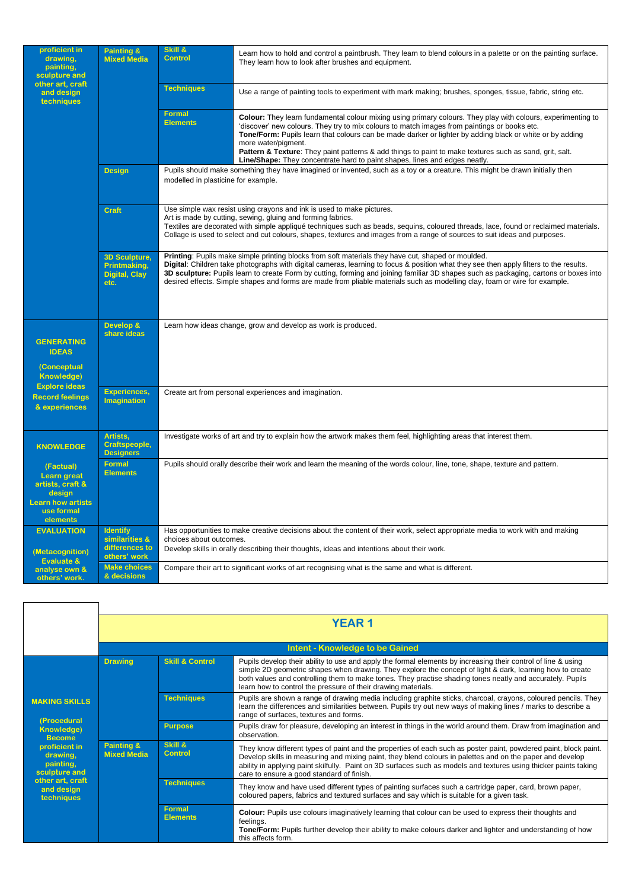| proficient in<br>drawing,<br>painting,<br>sculpture and                                                             | Painting &<br><b>Mixed Media</b>                                     | Skill &<br><b>Control</b>           | Learn how to hold and control a paintbrush. They learn to blend colours in a palette or on the painting surface.<br>They learn how to look after brushes and equipment.                                                                                                                                                                                                                                                                                                                                                                         |  |  |
|---------------------------------------------------------------------------------------------------------------------|----------------------------------------------------------------------|-------------------------------------|-------------------------------------------------------------------------------------------------------------------------------------------------------------------------------------------------------------------------------------------------------------------------------------------------------------------------------------------------------------------------------------------------------------------------------------------------------------------------------------------------------------------------------------------------|--|--|
| other art, craft<br>and design<br>techniques                                                                        |                                                                      | <b>Techniques</b>                   | Use a range of painting tools to experiment with mark making; brushes, sponges, tissue, fabric, string etc.                                                                                                                                                                                                                                                                                                                                                                                                                                     |  |  |
|                                                                                                                     |                                                                      | <b>Formal</b><br><b>Elements</b>    | <b>Colour:</b> They learn fundamental colour mixing using primary colours. They play with colours, experimenting to<br>'discover' new colours. They try to mix colours to match images from paintings or books etc.<br>Tone/Form: Pupils learn that colours can be made darker or lighter by adding black or white or by adding<br>more water/pigment.<br>Pattern & Texture: They paint patterns & add things to paint to make textures such as sand, grit, salt.<br>Line/Shape: They concentrate hard to paint shapes, lines and edges neatly. |  |  |
|                                                                                                                     | <b>Design</b>                                                        | modelled in plasticine for example. | Pupils should make something they have imagined or invented, such as a toy or a creature. This might be drawn initially then                                                                                                                                                                                                                                                                                                                                                                                                                    |  |  |
|                                                                                                                     | <b>Craft</b>                                                         |                                     | Use simple wax resist using crayons and ink is used to make pictures.<br>Art is made by cutting, sewing, gluing and forming fabrics.<br>Textiles are decorated with simple appliqué techniques such as beads, sequins, coloured threads, lace, found or reclaimed materials.<br>Collage is used to select and cut colours, shapes, textures and images from a range of sources to suit ideas and purposes.                                                                                                                                      |  |  |
|                                                                                                                     | <b>3D Sculpture,</b><br>Printmaking,<br><b>Digital, Clay</b><br>etc. |                                     | Printing: Pupils make simple printing blocks from soft materials they have cut, shaped or moulded.<br>Digital: Children take photographs with digital cameras, learning to focus & position what they see then apply filters to the results.<br>3D sculpture: Pupils learn to create Form by cutting, forming and joining familiar 3D shapes such as packaging, cartons or boxes into<br>desired effects. Simple shapes and forms are made from pliable materials such as modelling clay, foam or wire for example.                             |  |  |
| <b>GENERATING</b><br><b>IDEAS</b><br><b>(Conceptual</b><br><b>Knowledge)</b>                                        | Develop &<br>share ideas                                             |                                     | Learn how ideas change, grow and develop as work is produced.                                                                                                                                                                                                                                                                                                                                                                                                                                                                                   |  |  |
| <b>Explore ideas</b><br><b>Record feelings</b><br>& experiences                                                     | <b>Experiences,</b><br><b>Imagination</b>                            |                                     | Create art from personal experiences and imagination.                                                                                                                                                                                                                                                                                                                                                                                                                                                                                           |  |  |
| Artists,<br><b>Craftspeople,</b><br><b>KNOWLEDGE</b><br><b>Designers</b>                                            |                                                                      |                                     | Investigate works of art and try to explain how the artwork makes them feel, highlighting areas that interest them.                                                                                                                                                                                                                                                                                                                                                                                                                             |  |  |
| (Factual)<br><b>Learn great</b><br>artists, craft &<br>design<br><b>Learn how artists</b><br>use formal<br>elements | <b>Formal</b><br><b>Elements</b>                                     |                                     | Pupils should orally describe their work and learn the meaning of the words colour, line, tone, shape, texture and pattern.                                                                                                                                                                                                                                                                                                                                                                                                                     |  |  |
| <b>EVALUATION</b><br>(Metacognition)                                                                                | <b>Identify</b><br>similarities &<br>differences to                  | choices about outcomes.             | Has opportunities to make creative decisions about the content of their work, select appropriate media to work with and making<br>Develop skills in orally describing their thoughts, ideas and intentions about their work.                                                                                                                                                                                                                                                                                                                    |  |  |
| <b>Evaluate &amp;</b><br>analyse own &<br>others' work.                                                             | others' work<br><b>Make choices</b><br>& decisions                   |                                     | Compare their art to significant works of art recognising what is the same and what is different.                                                                                                                                                                                                                                                                                                                                                                                                                                               |  |  |

|                                                         | <b>YEAR1</b>                     |                            |                                                                                                                                                                                                                                                                                                                                                                                                          |  |
|---------------------------------------------------------|----------------------------------|----------------------------|----------------------------------------------------------------------------------------------------------------------------------------------------------------------------------------------------------------------------------------------------------------------------------------------------------------------------------------------------------------------------------------------------------|--|
|                                                         |                                  |                            | <b>Intent - Knowledge to be Gained</b>                                                                                                                                                                                                                                                                                                                                                                   |  |
|                                                         | <b>Drawing</b>                   | <b>Skill &amp; Control</b> | Pupils develop their ability to use and apply the formal elements by increasing their control of line & using<br>simple 2D geometric shapes when drawing. They explore the concept of light & dark, learning how to create<br>both values and controlling them to make tones. They practise shading tones neatly and accurately. Pupils<br>learn how to control the pressure of their drawing materials. |  |
| <b>MAKING SKILLS</b>                                    |                                  | <b>Techniques</b>          | Pupils are shown a range of drawing media including graphite sticks, charcoal, crayons, coloured pencils. They<br>learn the differences and similarities between. Pupils try out new ways of making lines / marks to describe a<br>range of surfaces, textures and forms.                                                                                                                                |  |
| (Procedural<br><b>Knowledge)</b><br><b>Become</b>       |                                  | <b>Purpose</b>             | Pupils draw for pleasure, developing an interest in things in the world around them. Draw from imagination and<br>observation.                                                                                                                                                                                                                                                                           |  |
| proficient in<br>drawing.<br>painting,<br>sculpture and | Painting &<br><b>Mixed Media</b> | Skill &<br><b>Control</b>  | They know different types of paint and the properties of each such as poster paint, powdered paint, block paint.<br>Develop skills in measuring and mixing paint, they blend colours in palettes and on the paper and develop<br>ability in applying paint skilfully. Paint on 3D surfaces such as models and textures using thicker paints taking<br>care to ensure a good standard of finish.          |  |
| other art, craft<br>and design<br>techniques            |                                  | <b>Techniques</b>          | They know and have used different types of painting surfaces such a cartridge paper, card, brown paper,<br>coloured papers, fabrics and textured surfaces and say which is suitable for a given task.                                                                                                                                                                                                    |  |
|                                                         |                                  | Formal<br><b>Elements</b>  | <b>Colour:</b> Pupils use colours imaginatively learning that colour can be used to express their thoughts and<br>feelings.<br>Tone/Form: Pupils further develop their ability to make colours darker and lighter and understanding of how<br>this affects form.                                                                                                                                         |  |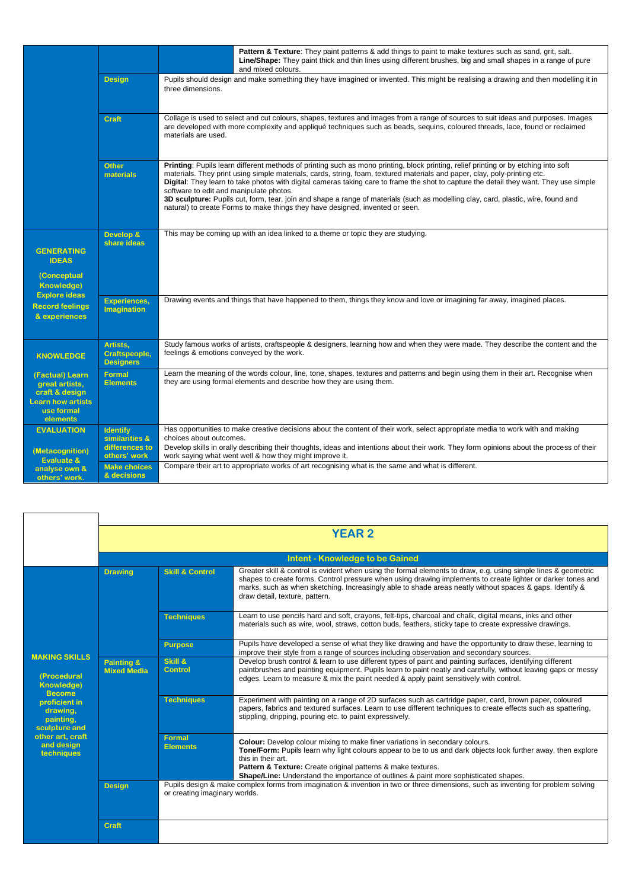|                                                                                                           |                                                                     | <b>Pattern &amp; Texture:</b> They paint patterns & add things to paint to make textures such as sand, grit, salt.<br>Line/Shape: They paint thick and thin lines using different brushes, big and small shapes in a range of pure<br>and mixed colours.                                                                                                                                                                                                                                                                                                                                                                                                                    |
|-----------------------------------------------------------------------------------------------------------|---------------------------------------------------------------------|-----------------------------------------------------------------------------------------------------------------------------------------------------------------------------------------------------------------------------------------------------------------------------------------------------------------------------------------------------------------------------------------------------------------------------------------------------------------------------------------------------------------------------------------------------------------------------------------------------------------------------------------------------------------------------|
|                                                                                                           | <b>Design</b>                                                       | Pupils should design and make something they have imagined or invented. This might be realising a drawing and then modelling it in<br>three dimensions.                                                                                                                                                                                                                                                                                                                                                                                                                                                                                                                     |
|                                                                                                           | <b>Craft</b>                                                        | Collage is used to select and cut colours, shapes, textures and images from a range of sources to suit ideas and purposes. Images<br>are developed with more complexity and appliqué techniques such as beads, sequins, coloured threads, lace, found or reclaimed<br>materials are used.                                                                                                                                                                                                                                                                                                                                                                                   |
|                                                                                                           | <b>Other</b><br>materials                                           | Printing: Pupils learn different methods of printing such as mono printing, block printing, relief printing or by etching into soft<br>materials. They print using simple materials, cards, string, foam, textured materials and paper, clay, poly-printing etc.<br>Digital: They learn to take photos with digital cameras taking care to frame the shot to capture the detail they want. They use simple<br>software to edit and manipulate photos.<br>3D sculpture: Pupils cut, form, tear, join and shape a range of materials (such as modelling clay, card, plastic, wire, found and<br>natural) to create Forms to make things they have designed, invented or seen. |
| <b>GENERATING</b><br><b>IDEAS</b><br><b>(Conceptual</b><br><b>Knowledge)</b>                              | Develop &<br>share ideas                                            | This may be coming up with an idea linked to a theme or topic they are studying.                                                                                                                                                                                                                                                                                                                                                                                                                                                                                                                                                                                            |
| <b>Explore ideas</b><br><b>Record feelings</b><br>& experiences                                           | <b>Experiences,</b><br><b>Imagination</b>                           | Drawing events and things that have happened to them, things they know and love or imagining far away, imagined places.                                                                                                                                                                                                                                                                                                                                                                                                                                                                                                                                                     |
| <b>KNOWLEDGE</b>                                                                                          | Artists,<br>Craftspeople,<br><b>Designers</b>                       | Study famous works of artists, craftspeople & designers, learning how and when they were made. They describe the content and the<br>feelings & emotions conveyed by the work.                                                                                                                                                                                                                                                                                                                                                                                                                                                                                               |
| (Factual) Learn<br>great artists,<br>craft & design<br><b>Learn how artists</b><br>use formal<br>elements | <b>Formal</b><br><b>Elements</b>                                    | Learn the meaning of the words colour, line, tone, shapes, textures and patterns and begin using them in their art. Recognise when<br>they are using formal elements and describe how they are using them.                                                                                                                                                                                                                                                                                                                                                                                                                                                                  |
| <b>EVALUATION</b><br>(Metacognition)                                                                      | <b>Identify</b><br>similarities &<br>differences to<br>others' work | Has opportunities to make creative decisions about the content of their work, select appropriate media to work with and making<br>choices about outcomes.<br>Develop skills in orally describing their thoughts, ideas and intentions about their work. They form opinions about the process of their<br>work saying what went well & how they might improve it.                                                                                                                                                                                                                                                                                                            |
| Evaluate &<br>analyse own &<br>others' work.                                                              | <b>Make choices</b><br>& decisions                                  | Compare their art to appropriate works of art recognising what is the same and what is different.                                                                                                                                                                                                                                                                                                                                                                                                                                                                                                                                                                           |

|                                                                           |                                             | <b>YEAR 2</b>                 |                                                                                                                                                                                                                                                                                                                                                                                    |  |  |
|---------------------------------------------------------------------------|---------------------------------------------|-------------------------------|------------------------------------------------------------------------------------------------------------------------------------------------------------------------------------------------------------------------------------------------------------------------------------------------------------------------------------------------------------------------------------|--|--|
|                                                                           | <b>Intent - Knowledge to be Gained</b>      |                               |                                                                                                                                                                                                                                                                                                                                                                                    |  |  |
|                                                                           | <b>Drawing</b>                              | <b>Skill &amp; Control</b>    | Greater skill & control is evident when using the formal elements to draw, e.g. using simple lines & geometric<br>shapes to create forms. Control pressure when using drawing implements to create lighter or darker tones and<br>marks, such as when sketching. Increasingly able to shade areas neatly without spaces & gaps. Identify &<br>draw detail, texture, pattern.       |  |  |
|                                                                           |                                             | <b>Techniques</b>             | Learn to use pencils hard and soft, crayons, felt-tips, charcoal and chalk, digital means, inks and other<br>materials such as wire, wool, straws, cotton buds, feathers, sticky tape to create expressive drawings.                                                                                                                                                               |  |  |
|                                                                           |                                             | <b>Purpose</b>                | Pupils have developed a sense of what they like drawing and have the opportunity to draw these, learning to<br>improve their style from a range of sources including observation and secondary sources.                                                                                                                                                                            |  |  |
| <b>MAKING SKILLS</b><br>(Procedural<br><b>Knowledge)</b><br><b>Become</b> | <b>Painting &amp;</b><br><b>Mixed Media</b> | Skill &<br>Control            | Develop brush control & learn to use different types of paint and painting surfaces, identifying different<br>paintbrushes and painting equipment. Pupils learn to paint neatly and carefully, without leaving gaps or messy<br>edges. Learn to measure & mix the paint needed & apply paint sensitively with control.                                                             |  |  |
| proficient in<br>drawing,<br>painting,<br>sculpture and                   |                                             | <b>Techniques</b>             | Experiment with painting on a range of 2D surfaces such as cartridge paper, card, brown paper, coloured<br>papers, fabrics and textured surfaces. Learn to use different techniques to create effects such as spattering,<br>stippling, dripping, pouring etc. to paint expressively.                                                                                              |  |  |
| other art, craft<br>and design<br>techniques                              |                                             | Formal<br><b>Elements</b>     | <b>Colour:</b> Develop colour mixing to make finer variations in secondary colours.<br>Tone/Form: Pupils learn why light colours appear to be to us and dark objects look further away, then explore<br>this in their art.<br>Pattern & Texture: Create original patterns & make textures.<br>Shape/Line: Understand the importance of outlines & paint more sophisticated shapes. |  |  |
|                                                                           | <b>Design</b>                               | or creating imaginary worlds. | Pupils design & make complex forms from imagination & invention in two or three dimensions, such as inventing for problem solving                                                                                                                                                                                                                                                  |  |  |
|                                                                           | Craft                                       |                               |                                                                                                                                                                                                                                                                                                                                                                                    |  |  |

 $\Gamma$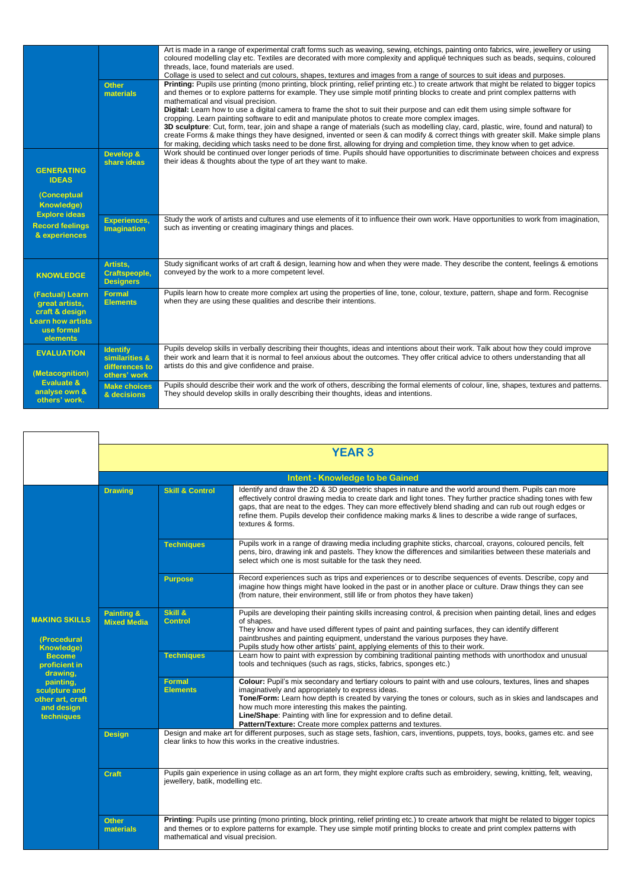|                                                                                                           | <b>Other</b><br>materials                                           | Art is made in a range of experimental craft forms such as weaving, sewing, etchings, painting onto fabrics, wire, jewellery or using<br>coloured modelling clay etc. Textiles are decorated with more complexity and appliqué techniques such as beads, sequins, coloured<br>threads, lace, found materials are used.<br>Collage is used to select and cut colours, shapes, textures and images from a range of sources to suit ideas and purposes.<br>Printing: Pupils use printing (mono printing, block printing, relief printing etc.) to create artwork that might be related to bigger topics<br>and themes or to explore patterns for example. They use simple motif printing blocks to create and print complex patterns with<br>mathematical and visual precision.<br>Digital: Learn how to use a digital camera to frame the shot to suit their purpose and can edit them using simple software for<br>cropping. Learn painting software to edit and manipulate photos to create more complex images.<br>3D sculpture: Cut, form, tear, join and shape a range of materials (such as modelling clay, card, plastic, wire, found and natural) to<br>create Forms & make things they have designed, invented or seen & can modify & correct things with greater skill. Make simple plans<br>for making, deciding which tasks need to be done first, allowing for drying and completion time, they know when to get advice. |
|-----------------------------------------------------------------------------------------------------------|---------------------------------------------------------------------|-------------------------------------------------------------------------------------------------------------------------------------------------------------------------------------------------------------------------------------------------------------------------------------------------------------------------------------------------------------------------------------------------------------------------------------------------------------------------------------------------------------------------------------------------------------------------------------------------------------------------------------------------------------------------------------------------------------------------------------------------------------------------------------------------------------------------------------------------------------------------------------------------------------------------------------------------------------------------------------------------------------------------------------------------------------------------------------------------------------------------------------------------------------------------------------------------------------------------------------------------------------------------------------------------------------------------------------------------------------------------------------------------------------------------------------|
| <b>GENERATING</b><br><b>IDEAS</b><br>(Conceptual                                                          | Develop &<br>share ideas                                            | Work should be continued over longer periods of time. Pupils should have opportunities to discriminate between choices and express<br>their ideas & thoughts about the type of art they want to make.                                                                                                                                                                                                                                                                                                                                                                                                                                                                                                                                                                                                                                                                                                                                                                                                                                                                                                                                                                                                                                                                                                                                                                                                                               |
| <b>Knowledge)</b><br><b>Explore ideas</b>                                                                 |                                                                     |                                                                                                                                                                                                                                                                                                                                                                                                                                                                                                                                                                                                                                                                                                                                                                                                                                                                                                                                                                                                                                                                                                                                                                                                                                                                                                                                                                                                                                     |
| <b>Record feelings</b><br>& experiences                                                                   | <b>Experiences,</b><br><b>Imagination</b>                           | Study the work of artists and cultures and use elements of it to influence their own work. Have opportunities to work from imagination,<br>such as inventing or creating imaginary things and places.                                                                                                                                                                                                                                                                                                                                                                                                                                                                                                                                                                                                                                                                                                                                                                                                                                                                                                                                                                                                                                                                                                                                                                                                                               |
| <b>KNOWLEDGE</b>                                                                                          | Artists,<br><b>Craftspeople,</b><br><b>Designers</b>                | Study significant works of art craft & design, learning how and when they were made. They describe the content, feelings & emotions<br>conveyed by the work to a more competent level.                                                                                                                                                                                                                                                                                                                                                                                                                                                                                                                                                                                                                                                                                                                                                                                                                                                                                                                                                                                                                                                                                                                                                                                                                                              |
| (Factual) Learn<br>great artists,<br>craft & design<br><b>Learn how artists</b><br>use formal<br>elements | <b>Formal</b><br><b>Elements</b>                                    | Pupils learn how to create more complex art using the properties of line, tone, colour, texture, pattern, shape and form. Recognise<br>when they are using these qualities and describe their intentions.                                                                                                                                                                                                                                                                                                                                                                                                                                                                                                                                                                                                                                                                                                                                                                                                                                                                                                                                                                                                                                                                                                                                                                                                                           |
| <b>EVALUATION</b><br>(Metacognition)                                                                      | <b>Identify</b><br>similarities &<br>differences to<br>others' work | Pupils develop skills in verbally describing their thoughts, ideas and intentions about their work. Talk about how they could improve<br>their work and learn that it is normal to feel anxious about the outcomes. They offer critical advice to others understanding that all<br>artists do this and give confidence and praise.                                                                                                                                                                                                                                                                                                                                                                                                                                                                                                                                                                                                                                                                                                                                                                                                                                                                                                                                                                                                                                                                                                  |
| <b>Evaluate &amp;</b><br>analyse own &<br>others' work.                                                   | <b>Make choices</b><br>& decisions                                  | Pupils should describe their work and the work of others, describing the formal elements of colour, line, shapes, textures and patterns.<br>They should develop skills in orally describing their thoughts, ideas and intentions.                                                                                                                                                                                                                                                                                                                                                                                                                                                                                                                                                                                                                                                                                                                                                                                                                                                                                                                                                                                                                                                                                                                                                                                                   |

|                                                                            |                                             |                                                                                                                                                                            | <b>YEAR 3</b>                                                                                                                                                                                                                                                                                                                                                                                                                                                               |  |  |
|----------------------------------------------------------------------------|---------------------------------------------|----------------------------------------------------------------------------------------------------------------------------------------------------------------------------|-----------------------------------------------------------------------------------------------------------------------------------------------------------------------------------------------------------------------------------------------------------------------------------------------------------------------------------------------------------------------------------------------------------------------------------------------------------------------------|--|--|
|                                                                            | <b>Intent - Knowledge to be Gained</b>      |                                                                                                                                                                            |                                                                                                                                                                                                                                                                                                                                                                                                                                                                             |  |  |
|                                                                            | <b>Drawing</b>                              | <b>Skill &amp; Control</b>                                                                                                                                                 | Identify and draw the 2D & 3D geometric shapes in nature and the world around them. Pupils can more<br>effectively control drawing media to create dark and light tones. They further practice shading tones with few<br>gaps, that are neat to the edges. They can more effectively blend shading and can rub out rough edges or<br>refine them. Pupils develop their confidence making marks & lines to describe a wide range of surfaces,<br>textures & forms.           |  |  |
|                                                                            |                                             | <b>Techniques</b>                                                                                                                                                          | Pupils work in a range of drawing media including graphite sticks, charcoal, crayons, coloured pencils, felt<br>pens, biro, drawing ink and pastels. They know the differences and similarities between these materials and<br>select which one is most suitable for the task they need.                                                                                                                                                                                    |  |  |
|                                                                            |                                             | <b>Purpose</b>                                                                                                                                                             | Record experiences such as trips and experiences or to describe sequences of events. Describe, copy and<br>imagine how things might have looked in the past or in another place or culture. Draw things they can see<br>(from nature, their environment, still life or from photos they have taken)                                                                                                                                                                         |  |  |
| <b>MAKING SKILLS</b><br>(Procedural<br><b>Knowledge)</b>                   | <b>Painting &amp;</b><br><b>Mixed Media</b> | Skill &<br><b>Control</b>                                                                                                                                                  | Pupils are developing their painting skills increasing control, & precision when painting detail, lines and edges<br>of shapes.<br>They know and have used different types of paint and painting surfaces, they can identify different<br>paintbrushes and painting equipment, understand the various purposes they have.<br>Pupils study how other artists' paint, applying elements of this to their work.                                                                |  |  |
| <b>Become</b><br>proficient in<br>drawing,                                 |                                             | <b>Techniques</b>                                                                                                                                                          | Learn how to paint with expression by combining traditional painting methods with unorthodox and unusual<br>tools and techniques (such as rags, sticks, fabrics, sponges etc.)                                                                                                                                                                                                                                                                                              |  |  |
| painting.<br>sculpture and<br>other art, craft<br>and design<br>techniques |                                             | <b>Formal</b><br><b>Elements</b>                                                                                                                                           | Colour: Pupil's mix secondary and tertiary colours to paint with and use colours, textures, lines and shapes<br>imaginatively and appropriately to express ideas.<br>Tone/Form: Learn how depth is created by varying the tones or colours, such as in skies and landscapes and<br>how much more interesting this makes the painting.<br>Line/Shape: Painting with line for expression and to define detail.<br>Pattern/Texture: Create more complex patterns and textures. |  |  |
|                                                                            | <b>Design</b>                               |                                                                                                                                                                            | Design and make art for different purposes, such as stage sets, fashion, cars, inventions, puppets, toys, books, games etc. and see<br>clear links to how this works in the creative industries.                                                                                                                                                                                                                                                                            |  |  |
|                                                                            | <b>Craft</b>                                | Pupils gain experience in using collage as an art form, they might explore crafts such as embroidery, sewing, knitting, felt, weaving,<br>jewellery, batik, modelling etc. |                                                                                                                                                                                                                                                                                                                                                                                                                                                                             |  |  |
|                                                                            | <b>Other</b><br>materials                   | mathematical and visual precision.                                                                                                                                         | Printing: Pupils use printing (mono printing, block printing, relief printing etc.) to create artwork that might be related to bigger topics<br>and themes or to explore patterns for example. They use simple motif printing blocks to create and print complex patterns with                                                                                                                                                                                              |  |  |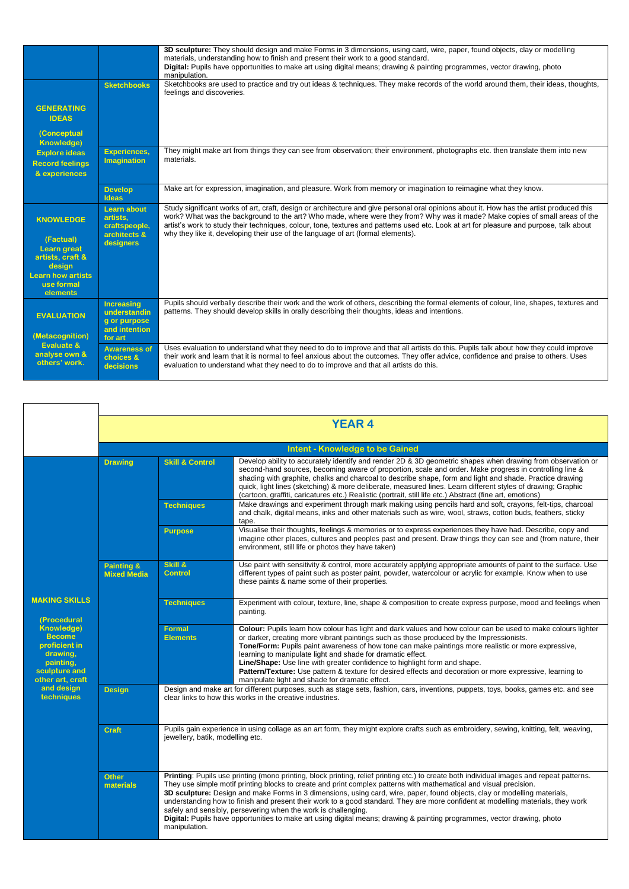|                                                                 |                                                                    | 3D sculpture: They should design and make Forms in 3 dimensions, using card, wire, paper, found objects, clay or modelling<br>materials, understanding how to finish and present their work to a good standard.<br>Digital: Pupils have opportunities to make art using digital means; drawing & painting programmes, vector drawing, photo                                                                                                                                                             |
|-----------------------------------------------------------------|--------------------------------------------------------------------|---------------------------------------------------------------------------------------------------------------------------------------------------------------------------------------------------------------------------------------------------------------------------------------------------------------------------------------------------------------------------------------------------------------------------------------------------------------------------------------------------------|
|                                                                 |                                                                    | manipulation.                                                                                                                                                                                                                                                                                                                                                                                                                                                                                           |
|                                                                 | <b>Sketchbooks</b>                                                 | Sketchbooks are used to practice and try out ideas & techniques. They make records of the world around them, their ideas, thoughts,<br>feelings and discoveries.                                                                                                                                                                                                                                                                                                                                        |
| <b>GENERATING</b><br><b>IDEAS</b>                               |                                                                    |                                                                                                                                                                                                                                                                                                                                                                                                                                                                                                         |
| <b>(Conceptual</b><br><b>Knowledge)</b>                         |                                                                    |                                                                                                                                                                                                                                                                                                                                                                                                                                                                                                         |
| <b>Explore ideas</b><br><b>Record feelings</b><br>& experiences | <b>Experiences,</b><br>Imagination                                 | They might make art from things they can see from observation; their environment, photographs etc. then translate them into new<br>materials.                                                                                                                                                                                                                                                                                                                                                           |
|                                                                 | <b>Develop</b><br>Ideas                                            | Make art for expression, imagination, and pleasure. Work from memory or imagination to reimagine what they know.                                                                                                                                                                                                                                                                                                                                                                                        |
| <b>KNOWLEDGE</b>                                                | <b>Learn about</b><br>artists.<br>craftspeople,                    | Study significant works of art, craft, design or architecture and give personal oral opinions about it. How has the artist produced this<br>work? What was the background to the art? Who made, where were they from? Why was it made? Make copies of small areas of the<br>artist's work to study their techniques, colour, tone, textures and patterns used etc. Look at art for pleasure and purpose, talk about<br>why they like it, developing their use of the language of art (formal elements). |
| (Factual)<br><b>Learn great</b><br>artists, craft &<br>design   | architects &<br>designers                                          |                                                                                                                                                                                                                                                                                                                                                                                                                                                                                                         |
| <b>Learn how artists</b><br>use formal<br>elements              |                                                                    |                                                                                                                                                                                                                                                                                                                                                                                                                                                                                                         |
| <b>EVALUATION</b>                                               | <b>Increasing</b><br>understandin<br>g or purpose<br>and intention | Pupils should verbally describe their work and the work of others, describing the formal elements of colour, line, shapes, textures and<br>patterns. They should develop skills in orally describing their thoughts, ideas and intentions.                                                                                                                                                                                                                                                              |
| (Metacognition)<br><b>Evaluate &amp;</b>                        | for art                                                            |                                                                                                                                                                                                                                                                                                                                                                                                                                                                                                         |
| analyse own &<br>others' work.                                  | <b>Awareness of</b><br>choices &<br>decisions                      | Uses evaluation to understand what they need to do to improve and that all artists do this. Pupils talk about how they could improve<br>their work and learn that it is normal to feel anxious about the outcomes. They offer advice, confidence and praise to others. Uses<br>evaluation to understand what they need to do to improve and that all artists do this.                                                                                                                                   |

|                                                                                                                   |                                             |                                                                                                                                                                                                  | <b>YEAR4</b>                                                                                                                                                                                                                                                                                                                                                                                                                                                                                                                                                                                                                                                                                                                   |  |
|-------------------------------------------------------------------------------------------------------------------|---------------------------------------------|--------------------------------------------------------------------------------------------------------------------------------------------------------------------------------------------------|--------------------------------------------------------------------------------------------------------------------------------------------------------------------------------------------------------------------------------------------------------------------------------------------------------------------------------------------------------------------------------------------------------------------------------------------------------------------------------------------------------------------------------------------------------------------------------------------------------------------------------------------------------------------------------------------------------------------------------|--|
|                                                                                                                   |                                             |                                                                                                                                                                                                  |                                                                                                                                                                                                                                                                                                                                                                                                                                                                                                                                                                                                                                                                                                                                |  |
|                                                                                                                   |                                             |                                                                                                                                                                                                  | <b>Intent - Knowledge to be Gained</b>                                                                                                                                                                                                                                                                                                                                                                                                                                                                                                                                                                                                                                                                                         |  |
|                                                                                                                   | <b>Drawing</b>                              | <b>Skill &amp; Control</b>                                                                                                                                                                       | Develop ability to accurately identify and render 2D & 3D geometric shapes when drawing from observation or<br>second-hand sources, becoming aware of proportion, scale and order. Make progress in controlling line &<br>shading with graphite, chalks and charcoal to describe shape, form and light and shade. Practice drawing<br>quick, light lines (sketching) & more deliberate, measured lines. Learn different styles of drawing; Graphic<br>(cartoon, graffiti, caricatures etc.) Realistic (portrait, still life etc.) Abstract (fine art, emotions)                                                                                                                                                                |  |
|                                                                                                                   |                                             | <b>Techniques</b>                                                                                                                                                                                | Make drawings and experiment through mark making using pencils hard and soft, crayons, felt-tips, charcoal<br>and chalk, digital means, inks and other materials such as wire, wool, straws, cotton buds, feathers, sticky<br>tape.                                                                                                                                                                                                                                                                                                                                                                                                                                                                                            |  |
|                                                                                                                   |                                             | <b>Purpose</b>                                                                                                                                                                                   | Visualise their thoughts, feelings & memories or to express experiences they have had. Describe, copy and<br>imagine other places, cultures and peoples past and present. Draw things they can see and (from nature, their<br>environment, still life or photos they have taken)                                                                                                                                                                                                                                                                                                                                                                                                                                               |  |
|                                                                                                                   | <b>Painting &amp;</b><br><b>Mixed Media</b> | Skill &<br><b>Control</b>                                                                                                                                                                        | Use paint with sensitivity & control, more accurately applying appropriate amounts of paint to the surface. Use<br>different types of paint such as poster paint, powder, watercolour or acrylic for example. Know when to use<br>these paints & name some of their properties.                                                                                                                                                                                                                                                                                                                                                                                                                                                |  |
| <b>MAKING SKILLS</b><br>(Procedural                                                                               |                                             | <b>Techniques</b>                                                                                                                                                                                | Experiment with colour, texture, line, shape & composition to create express purpose, mood and feelings when<br>painting.                                                                                                                                                                                                                                                                                                                                                                                                                                                                                                                                                                                                      |  |
| <b>Knowledge)</b><br><b>Become</b><br>proficient in<br>drawing,<br>painting,<br>sculpture and<br>other art, craft |                                             | <b>Formal</b><br><b>Elements</b>                                                                                                                                                                 | Colour: Pupils learn how colour has light and dark values and how colour can be used to make colours lighter<br>or darker, creating more vibrant paintings such as those produced by the Impressionists.<br>Tone/Form: Pupils paint awareness of how tone can make paintings more realistic or more expressive,<br>learning to manipulate light and shade for dramatic effect.<br>Line/Shape: Use line with greater confidence to highlight form and shape.<br>Pattern/Texture: Use pattern & texture for desired effects and decoration or more expressive, learning to<br>manipulate light and shade for dramatic effect.                                                                                                    |  |
| and design<br>techniques                                                                                          | <b>Design</b>                               | Design and make art for different purposes, such as stage sets, fashion, cars, inventions, puppets, toys, books, games etc. and see<br>clear links to how this works in the creative industries. |                                                                                                                                                                                                                                                                                                                                                                                                                                                                                                                                                                                                                                                                                                                                |  |
|                                                                                                                   | <b>Craft</b>                                | Pupils gain experience in using collage as an art form, they might explore crafts such as embroidery, sewing, knitting, felt, weaving,<br>jewellery, batik, modelling etc.                       |                                                                                                                                                                                                                                                                                                                                                                                                                                                                                                                                                                                                                                                                                                                                |  |
|                                                                                                                   | <b>Other</b><br>materials                   | manipulation.                                                                                                                                                                                    | Printing: Pupils use printing (mono printing, block printing, relief printing etc.) to create both individual images and repeat patterns.<br>They use simple motif printing blocks to create and print complex patterns with mathematical and visual precision.<br>3D sculpture: Design and make Forms in 3 dimensions, using card, wire, paper, found objects, clay or modelling materials,<br>understanding how to finish and present their work to a good standard. They are more confident at modelling materials, they work<br>safely and sensibly, persevering when the work is challenging.<br>Digital: Pupils have opportunities to make art using digital means; drawing & painting programmes, vector drawing, photo |  |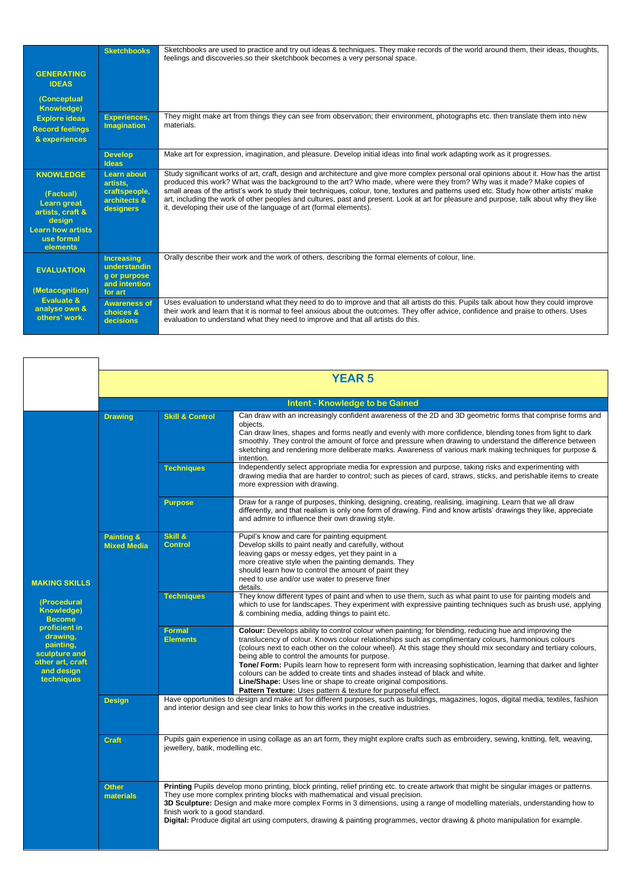|                                                                                                                                         | <b>Sketchbooks</b>                                                            | Sketchbooks are used to practice and try out ideas & techniques. They make records of the world around them, their ideas, thoughts,<br>feelings and discoveries.so their sketchbook becomes a very personal space.                                                                                                                                                                                                                                                                                                                                                                                                              |
|-----------------------------------------------------------------------------------------------------------------------------------------|-------------------------------------------------------------------------------|---------------------------------------------------------------------------------------------------------------------------------------------------------------------------------------------------------------------------------------------------------------------------------------------------------------------------------------------------------------------------------------------------------------------------------------------------------------------------------------------------------------------------------------------------------------------------------------------------------------------------------|
| <b>GENERATING</b><br><b>IDEAS</b>                                                                                                       |                                                                               |                                                                                                                                                                                                                                                                                                                                                                                                                                                                                                                                                                                                                                 |
| (Conceptual<br><b>Knowledge)</b>                                                                                                        |                                                                               |                                                                                                                                                                                                                                                                                                                                                                                                                                                                                                                                                                                                                                 |
| <b>Explore ideas</b><br><b>Record feelings</b><br>& experiences                                                                         | <b>Experiences,</b><br><b>Imagination</b>                                     | They might make art from things they can see from observation; their environment, photographs etc. then translate them into new<br>materials.                                                                                                                                                                                                                                                                                                                                                                                                                                                                                   |
|                                                                                                                                         | <b>Develop</b><br>Ideas                                                       | Make art for expression, imagination, and pleasure. Develop initial ideas into final work adapting work as it progresses.                                                                                                                                                                                                                                                                                                                                                                                                                                                                                                       |
| <b>KNOWLEDGE</b><br>(Factual)<br><b>Learn great</b><br>artists, craft &<br>design<br><b>Learn how artists</b><br>use formal<br>elements | Learn about<br>artists.<br>craftspeople,<br>architects &<br>designers         | Study significant works of art, craft, design and architecture and give more complex personal oral opinions about it. How has the artist<br>produced this work? What was the background to the art? Who made, where were they from? Why was it made? Make copies of<br>small areas of the artist's work to study their techniques, colour, tone, textures and patterns used etc. Study how other artists' make<br>art, including the work of other peoples and cultures, past and present. Look at art for pleasure and purpose, talk about why they like<br>it, developing their use of the language of art (formal elements). |
| <b>EVALUATION</b><br>(Metacognition)                                                                                                    | <b>Increasing</b><br>understandin<br>g or purpose<br>and intention<br>for art | Orally describe their work and the work of others, describing the formal elements of colour, line.                                                                                                                                                                                                                                                                                                                                                                                                                                                                                                                              |
| Evaluate &<br>analyse own &<br>others' work.                                                                                            | <b>Awareness of</b><br>choices &<br>decisions                                 | Uses evaluation to understand what they need to do to improve and that all artists do this. Pupils talk about how they could improve<br>their work and learn that it is normal to feel anxious about the outcomes. They offer advice, confidence and praise to others. Uses<br>evaluation to understand what they need to improve and that all artists do this.                                                                                                                                                                                                                                                                 |

|                                                                                                                                                                                      | <b>YEAR 5</b>                               |                                                                                                                                                                                                                                  |                                                                                                                                                                                                                                                                                                                                                                                                                                                                                                                                                                                                                                                                                                                            |  |
|--------------------------------------------------------------------------------------------------------------------------------------------------------------------------------------|---------------------------------------------|----------------------------------------------------------------------------------------------------------------------------------------------------------------------------------------------------------------------------------|----------------------------------------------------------------------------------------------------------------------------------------------------------------------------------------------------------------------------------------------------------------------------------------------------------------------------------------------------------------------------------------------------------------------------------------------------------------------------------------------------------------------------------------------------------------------------------------------------------------------------------------------------------------------------------------------------------------------------|--|
|                                                                                                                                                                                      |                                             |                                                                                                                                                                                                                                  | <b>Intent - Knowledge to be Gained</b>                                                                                                                                                                                                                                                                                                                                                                                                                                                                                                                                                                                                                                                                                     |  |
| <b>MAKING SKILLS</b><br>(Procedural<br><b>Knowledge)</b><br><b>Become</b><br>proficient in<br>drawing.<br>painting,<br>sculpture and<br>other art, craft<br>and design<br>techniques | <b>Drawing</b>                              | <b>Skill &amp; Control</b>                                                                                                                                                                                                       | Can draw with an increasingly confident awareness of the 2D and 3D geometric forms that comprise forms and<br>objects.<br>Can draw lines, shapes and forms neatly and evenly with more confidence, blending tones from light to dark<br>smoothly. They control the amount of force and pressure when drawing to understand the difference between<br>sketching and rendering more deliberate marks. Awareness of various mark making techniques for purpose &<br>intention.                                                                                                                                                                                                                                                |  |
|                                                                                                                                                                                      |                                             | <b>Techniques</b>                                                                                                                                                                                                                | Independently select appropriate media for expression and purpose, taking risks and experimenting with<br>drawing media that are harder to control; such as pieces of card, straws, sticks, and perishable items to create<br>more expression with drawing.                                                                                                                                                                                                                                                                                                                                                                                                                                                                |  |
|                                                                                                                                                                                      |                                             | <b>Purpose</b>                                                                                                                                                                                                                   | Draw for a range of purposes, thinking, designing, creating, realising, imagining. Learn that we all draw<br>differently, and that realism is only one form of drawing. Find and know artists' drawings they like, appreciate<br>and admire to influence their own drawing style.                                                                                                                                                                                                                                                                                                                                                                                                                                          |  |
|                                                                                                                                                                                      | <b>Painting &amp;</b><br><b>Mixed Media</b> | Skill &<br><b>Control</b>                                                                                                                                                                                                        | Pupil's know and care for painting equipment.<br>Develop skills to paint neatly and carefully, without<br>leaving gaps or messy edges, yet they paint in a<br>more creative style when the painting demands. They<br>should learn how to control the amount of paint they<br>need to use and/or use water to preserve finer<br>details.                                                                                                                                                                                                                                                                                                                                                                                    |  |
|                                                                                                                                                                                      |                                             | <b>Techniques</b>                                                                                                                                                                                                                | They know different types of paint and when to use them, such as what paint to use for painting models and<br>which to use for landscapes. They experiment with expressive painting techniques such as brush use, applying<br>& combining media, adding things to paint etc.                                                                                                                                                                                                                                                                                                                                                                                                                                               |  |
|                                                                                                                                                                                      |                                             | <b>Formal</b><br><b>Elements</b>                                                                                                                                                                                                 | Colour: Develops ability to control colour when painting; for blending, reducing hue and improving the<br>translucency of colour. Knows colour relationships such as complimentary colours, harmonious colours<br>(colours next to each other on the colour wheel). At this stage they should mix secondary and tertiary colours,<br>being able to control the amounts for purpose.<br>Tone/ Form: Pupils learn how to represent form with increasing sophistication, learning that darker and lighter<br>colours can be added to create tints and shades instead of black and white.<br>Line/Shape: Uses line or shape to create original compositions.<br>Pattern Texture: Uses pattern & texture for purposeful effect. |  |
|                                                                                                                                                                                      | <b>Design</b>                               | Have opportunities to design and make art for different purposes, such as buildings, magazines, logos, digital media, textiles, fashion<br>and interior design and see clear links to how this works in the creative industries. |                                                                                                                                                                                                                                                                                                                                                                                                                                                                                                                                                                                                                                                                                                                            |  |
|                                                                                                                                                                                      | <b>Craft</b>                                | Pupils gain experience in using collage as an art form, they might explore crafts such as embroidery, sewing, knitting, felt, weaving,<br>jewellery, batik, modelling etc.                                                       |                                                                                                                                                                                                                                                                                                                                                                                                                                                                                                                                                                                                                                                                                                                            |  |
|                                                                                                                                                                                      | <b>Other</b><br>materials                   | finish work to a good standard.                                                                                                                                                                                                  | Printing Pupils develop mono printing, block printing, relief printing etc. to create artwork that might be singular images or patterns.<br>They use more complex printing blocks with mathematical and visual precision.<br>3D Sculpture: Design and make more complex Forms in 3 dimensions, using a range of modelling materials, understanding how to<br>Digital: Produce digital art using computers, drawing & painting programmes, vector drawing & photo manipulation for example.                                                                                                                                                                                                                                 |  |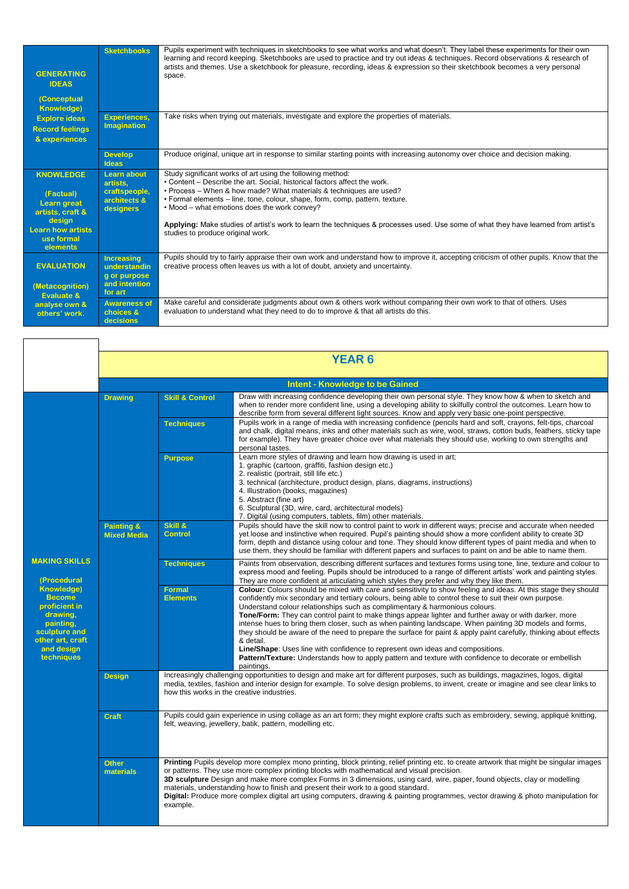| <b>GENERATING</b><br><b>IDEAS</b><br><b>(Conceptual</b><br><b>Knowledge)</b>                                                            | <b>Sketchbooks</b>                                                            | Pupils experiment with techniques in sketchbooks to see what works and what doesn't. They label these experiments for their own<br>learning and record keeping. Sketchbooks are used to practice and try out ideas & techniques. Record observations & research of<br>artists and themes. Use a sketchbook for pleasure, recording, ideas & expression so their sketchbook becomes a very personal<br>space.                                                                                                             |
|-----------------------------------------------------------------------------------------------------------------------------------------|-------------------------------------------------------------------------------|--------------------------------------------------------------------------------------------------------------------------------------------------------------------------------------------------------------------------------------------------------------------------------------------------------------------------------------------------------------------------------------------------------------------------------------------------------------------------------------------------------------------------|
| <b>Explore ideas</b><br><b>Record feelings</b><br>& experiences                                                                         | <b>Experiences,</b><br>Imagination                                            | Take risks when trying out materials, investigate and explore the properties of materials.                                                                                                                                                                                                                                                                                                                                                                                                                               |
|                                                                                                                                         | <b>Develop</b><br>Ideas                                                       | Produce original, unique art in response to similar starting points with increasing autonomy over choice and decision making.                                                                                                                                                                                                                                                                                                                                                                                            |
| <b>KNOWLEDGE</b><br>(Factual)<br><b>Learn great</b><br>artists, craft &<br>design<br><b>Learn how artists</b><br>use formal<br>elements | Learn about<br>artists.<br>craftspeople,<br>architects &<br>designers         | Study significant works of art using the following method:<br>• Content – Describe the art. Social, historical factors affect the work.<br>• Process – When & how made? What materials & techniques are used?<br>• Formal elements – line, tone, colour, shape, form, comp, pattern, texture.<br>. Mood – what emotions does the work convey?<br>Applying: Make studies of artist's work to learn the techniques & processes used. Use some of what they have learned from artist's<br>studies to produce original work. |
| <b>EVALUATION</b><br>(Metacognition)<br><b>Evaluate &amp;</b><br>analyse own &<br>others' work.                                         | <b>Increasing</b><br>understandin<br>g or purpose<br>and intention<br>for art | Pupils should try to fairly appraise their own work and understand how to improve it, accepting criticism of other pupils. Know that the<br>creative process often leaves us with a lot of doubt, anxiety and uncertainty.                                                                                                                                                                                                                                                                                               |
|                                                                                                                                         | <b>Awareness of</b><br>choices &<br>decisions                                 | Make careful and considerate judgments about own & others work without comparing their own work to that of others. Uses<br>evaluation to understand what they need to do to improve & that all artists do this.                                                                                                                                                                                                                                                                                                          |

 $\overline{\mathsf{I}}$ 

|                                                                                                                                                                                      | <b>YEAR 6</b>                               |                                                                                                                                                                                                                                                                                                                                                                                                                                                                                                                                                                                                            |                                                                                                                                                                                                                                                                                                                                                                                                                                                                                                                                                                                                                                                                                                                                                                                                                                                                               |  |  |  |
|--------------------------------------------------------------------------------------------------------------------------------------------------------------------------------------|---------------------------------------------|------------------------------------------------------------------------------------------------------------------------------------------------------------------------------------------------------------------------------------------------------------------------------------------------------------------------------------------------------------------------------------------------------------------------------------------------------------------------------------------------------------------------------------------------------------------------------------------------------------|-------------------------------------------------------------------------------------------------------------------------------------------------------------------------------------------------------------------------------------------------------------------------------------------------------------------------------------------------------------------------------------------------------------------------------------------------------------------------------------------------------------------------------------------------------------------------------------------------------------------------------------------------------------------------------------------------------------------------------------------------------------------------------------------------------------------------------------------------------------------------------|--|--|--|
|                                                                                                                                                                                      | <b>Intent - Knowledge to be Gained</b>      |                                                                                                                                                                                                                                                                                                                                                                                                                                                                                                                                                                                                            |                                                                                                                                                                                                                                                                                                                                                                                                                                                                                                                                                                                                                                                                                                                                                                                                                                                                               |  |  |  |
| <b>MAKING SKILLS</b><br>(Procedural<br><b>Knowledge)</b><br><b>Become</b><br>proficient in<br>drawing,<br>painting.<br>sculpture and<br>other art, craft<br>and design<br>techniques | <b>Drawing</b>                              | <b>Skill &amp; Control</b>                                                                                                                                                                                                                                                                                                                                                                                                                                                                                                                                                                                 | Draw with increasing confidence developing their own personal style. They know how & when to sketch and<br>when to render more confident line, using a developing ability to skilfully control the outcomes. Learn how to<br>describe form from several different light sources. Know and apply very basic one-point perspective.                                                                                                                                                                                                                                                                                                                                                                                                                                                                                                                                             |  |  |  |
|                                                                                                                                                                                      |                                             | <b>Techniques</b>                                                                                                                                                                                                                                                                                                                                                                                                                                                                                                                                                                                          | Pupils work in a range of media with increasing confidence (pencils hard and soft, crayons, felt-tips, charcoal<br>and chalk, digital means, inks and other materials such as wire, wool, straws, cotton buds, feathers, sticky tape<br>for example). They have greater choice over what materials they should use, working to own strengths and<br>personal tastes.                                                                                                                                                                                                                                                                                                                                                                                                                                                                                                          |  |  |  |
|                                                                                                                                                                                      |                                             | <b>Purpose</b>                                                                                                                                                                                                                                                                                                                                                                                                                                                                                                                                                                                             | Learn more styles of drawing and learn how drawing is used in art;<br>1. graphic (cartoon, graffiti, fashion design etc.)<br>2. realistic (portrait, still life etc.)<br>3. technical (architecture, product design, plans, diagrams, instructions)<br>4. Illustration (books, magazines)<br>5. Abstract (fine art)<br>6. Sculptural (3D, wire, card, architectural models)<br>7. Digital (using computers, tablets, film) other materials.                                                                                                                                                                                                                                                                                                                                                                                                                                   |  |  |  |
|                                                                                                                                                                                      | <b>Painting &amp;</b><br><b>Mixed Media</b> | Skill &<br><b>Control</b>                                                                                                                                                                                                                                                                                                                                                                                                                                                                                                                                                                                  | Pupils should have the skill now to control paint to work in different ways; precise and accurate when needed<br>yet loose and instinctive when required. Pupil's painting should show a more confident ability to create 3D<br>form, depth and distance using colour and tone. They should know different types of paint media and when to<br>use them, they should be familiar with different papers and surfaces to paint on and be able to name them.                                                                                                                                                                                                                                                                                                                                                                                                                     |  |  |  |
|                                                                                                                                                                                      |                                             | <b>Techniques</b>                                                                                                                                                                                                                                                                                                                                                                                                                                                                                                                                                                                          | Paints from observation, describing different surfaces and textures forms using tone, line, texture and colour to<br>express mood and feeling. Pupils should be introduced to a range of different artists' work and painting styles.<br>They are more confident at articulating which styles they prefer and why they like them.                                                                                                                                                                                                                                                                                                                                                                                                                                                                                                                                             |  |  |  |
|                                                                                                                                                                                      |                                             | <b>Formal</b><br><b>Elements</b>                                                                                                                                                                                                                                                                                                                                                                                                                                                                                                                                                                           | Colour: Colours should be mixed with care and sensitivity to show feeling and ideas. At this stage they should<br>confidently mix secondary and tertiary colours, being able to control these to suit their own purpose.<br>Understand colour relationships such as complimentary & harmonious colours.<br><b>Tone/Form:</b> They can control paint to make things appear lighter and further away or with darker, more<br>intense hues to bring them closer, such as when painting landscape. When painting 3D models and forms,<br>they should be aware of the need to prepare the surface for paint & apply paint carefully, thinking about effects<br>& detail.<br>Line/Shape: Uses line with confidence to represent own ideas and compositions.<br>Pattern/Texture: Understands how to apply pattern and texture with confidence to decorate or embellish<br>paintings. |  |  |  |
|                                                                                                                                                                                      | <b>Design</b>                               | Increasingly challenging opportunities to design and make art for different purposes, such as buildings, magazines, logos, digital<br>media, textiles, fashion and interior design for example. To solve design problems, to invent, create or imagine and see clear links to<br>how this works in the creative industries.                                                                                                                                                                                                                                                                                |                                                                                                                                                                                                                                                                                                                                                                                                                                                                                                                                                                                                                                                                                                                                                                                                                                                                               |  |  |  |
|                                                                                                                                                                                      | <b>Craft</b>                                | Pupils could gain experience in using collage as an art form; they might explore crafts such as embroidery, sewing, appliqué knitting,<br>felt, weaving, jewellery, batik, pattern, modelling etc.                                                                                                                                                                                                                                                                                                                                                                                                         |                                                                                                                                                                                                                                                                                                                                                                                                                                                                                                                                                                                                                                                                                                                                                                                                                                                                               |  |  |  |
|                                                                                                                                                                                      | <b>Other</b><br>materials                   | Printing Pupils develop more complex mono printing, block printing, relief printing etc. to create artwork that might be singular images<br>or patterns. They use more complex printing blocks with mathematical and visual precision.<br>3D sculpture Design and make more complex Forms in 3 dimensions, using card, wire, paper, found objects, clay or modelling<br>materials, understanding how to finish and present their work to a good standard.<br>Digital: Produce more complex digital art using computers, drawing & painting programmes, vector drawing & photo manipulation for<br>example. |                                                                                                                                                                                                                                                                                                                                                                                                                                                                                                                                                                                                                                                                                                                                                                                                                                                                               |  |  |  |